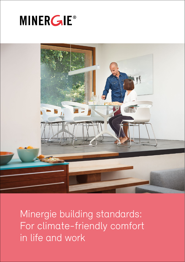



Minergie building standards: For climate-friendly comfort in life and work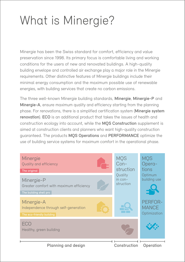# What is Minergie?

Minergie has been the Swiss standard for comfort, efficiency and value preservation since 1998. Its primary focus is comfortable living and working conditions for the users of new and renovated buildings. A high-quality building envelope and controlled air exchange play a major role in the Minergie requirements. Other distinctive features of Minergie buildings include their minimal energy consumption and the maximum possible use of renewable energies, with building services that create no carbon emissions.

The three well-known Minergie building standards, Minergie, Minergie-P and Minergie-A, ensure maximum quality and efficiency starting from the planning phase. For renovations, there is a simplified certification system (Minergie system renovation). ECO is an additional product that takes the issues of health and construction ecology into account, while the MQS Construction supplement is aimed at construction clients and planners who want high-quality construction guaranteed. The products MQS Operations and PERFORMANCE optimize the use of building service systems for maximum comfort in the operational phase.

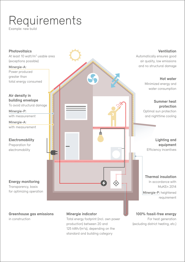# Requirements

Example: new build



in construction

Total energy footprint (incl. own power production) between 20 and 125 kWh/ $(m^2a)$ , depending on the standard and building category

For heat generation (excluding district heating, etc.)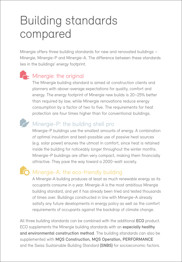# Building standards compared

Minergie offers three building standards for new and renovated buildings – Minergie, Minergie-P and Minergie-A. The difference between these standards lies in the buildings' energy footprint.

## **R**- Minergie: the original

The Minergie building standard is aimed at construction clients and planners with above-average expectations for quality, comfort and energy. The energy footprint of Minergie new builds is 20–25% better than required by law, while Minergie renovations reduce energy consumption by a factor of two to five. The requirements for heat protection are four times higher than for conventional buildings.



### Minergie-P: the building shell pro

Minergie-P buildings use the smallest amounts of energy. A combination of optimal insulation and best-possible use of passive heat sources (e.g. solar power) ensures the utmost in comfort, since heat is retained inside the building for noticeably longer throughout the winter months. Minergie-P buildings are often very compact, making them financially attractive. They pave the way toward a 2000-watt society.



### **Minergie-A: the eco-friendly building**

A Minergie-A building produces at least as much renewable energy as its occupants consume in a year. Minergie-A is the most ambitious Minergie building standard, and yet it has already been tried and tested thousands of times over. Buildings constructed in line with Minergie-A already satisfy any future developments in energy policy as well as the comfort requirements of occupants against the backdrop of climate change.

All three building standards can be combined with the additional ECO product. ECO supplements the Minergie building standards with an especially healthy and environmental construction method. The building standards can also be supplemented with MQS Construction, MQS Operation, PERFORMANCE and the Swiss Sustainable Building Standard (SNBS) for socioeconomic factors.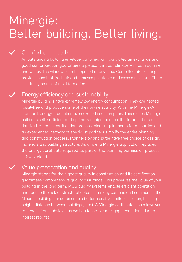## Minergie: Better building. Better living.

### Comfort and health

An outstanding building envelope combined with controlled air exchange and good sun protection guarantees a pleasant indoor climate – in both summer and winter. The windows can be opened at any time. Controlled air exchange provides constant fresh air and removes pollutants and excess moisture. There is virtually no risk of mold formation.

### Energy efficiency and sustainability

Minergie buildings have extremely low energy consumption. They are heated fossil-free and produce some of their own electricity. With the Minergie-A standard, energy production even exceeds consumption. This makes Minergie buildings self-sufficient and optimally equips them for the future. The standardized Minergie certification process, clear requirements for all parties and an experienced network of specialist partners simplify the entire planning and construction process. Planners by and large have free choice of design, materials and building structure. As a rule, a Minergie application replaces the energy certificate required as part of the planning permission process in Switzerland.

### Value preservation and quality

Minergie stands for the highest quality in construction and its certification guarantees comprehensive quality assurance. This preserves the value of your building in the long term. MQS quality systems enable efficient operation and reduce the risk of structural defects. In many cantons and communes, the Minergie building standards enable better use of your site (utilization, building height, distance between buildings, etc.). A Minergie certificate also allows you to benefit from subsidies as well as favorable mortgage conditions due to interest rebates.